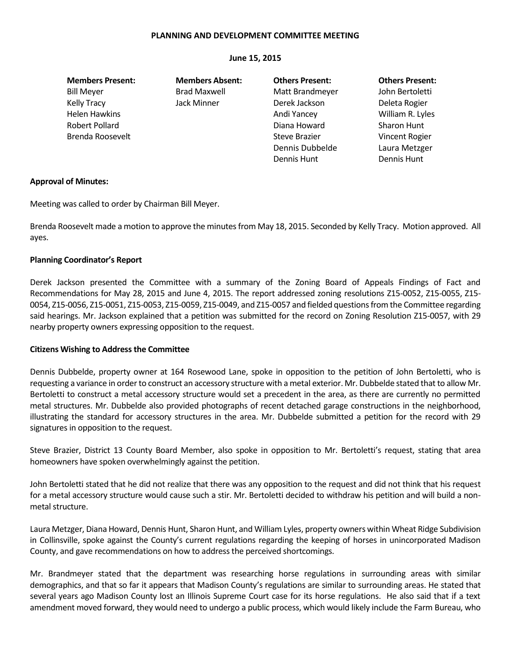## **PLANNING AND DEVELOPMENT COMMITTEE MEETING**

## **June 15, 2015**

**Members Present: Members Absent: Others Present: Others Present:** Bill Meyer **Brad Maxwell** Matt Brandmeyer John Bertoletti Kelly Tracy **State State State Jack Minner** Derek Jackson **Deleta Rogier** Deleta Rogier Helen Hawkins **Andi Yancey** Milliam R. Lyles Robert Pollard Diana Howard Sharon Hunt Brenda Roosevelt **Steve Brazier** Steve Brazier Vincent Rogier Steve Brazier Vincent Rogier

Dennis Dubbelde Laura Metzger Dennis Hunt Dennis Hunt

# **Approval of Minutes:**

Meeting was called to order by Chairman Bill Meyer.

Brenda Roosevelt made a motion to approve the minutes from May 18, 2015. Seconded by Kelly Tracy. Motion approved. All ayes.

# **Planning Coordinator's Report**

Derek Jackson presented the Committee with a summary of the Zoning Board of Appeals Findings of Fact and Recommendations for May 28, 2015 and June 4, 2015. The report addressed zoning resolutions Z15-0052, Z15-0055, Z15- 0054, Z15-0056, Z15-0051, Z15-0053, Z15-0059, Z15-0049, and Z15-0057 and fielded questions from the Committee regarding said hearings. Mr. Jackson explained that a petition was submitted for the record on Zoning Resolution Z15-0057, with 29 nearby property owners expressing opposition to the request.

## **Citizens Wishing to Address the Committee**

Dennis Dubbelde, property owner at 164 Rosewood Lane, spoke in opposition to the petition of John Bertoletti, who is requesting a variance in order to construct an accessory structure with a metal exterior. Mr. Dubbelde stated that to allow Mr. Bertoletti to construct a metal accessory structure would set a precedent in the area, as there are currently no permitted metal structures. Mr. Dubbelde also provided photographs of recent detached garage constructions in the neighborhood, illustrating the standard for accessory structures in the area. Mr. Dubbelde submitted a petition for the record with 29 signatures in opposition to the request.

Steve Brazier, District 13 County Board Member, also spoke in opposition to Mr. Bertoletti's request, stating that area homeowners have spoken overwhelmingly against the petition.

John Bertoletti stated that he did not realize that there was any opposition to the request and did not think that his request for a metal accessory structure would cause such a stir. Mr. Bertoletti decided to withdraw his petition and will build a nonmetal structure.

Laura Metzger, Diana Howard, Dennis Hunt, Sharon Hunt, and William Lyles, property owners within Wheat Ridge Subdivision in Collinsville, spoke against the County's current regulations regarding the keeping of horses in unincorporated Madison County, and gave recommendations on how to address the perceived shortcomings.

Mr. Brandmeyer stated that the department was researching horse regulations in surrounding areas with similar demographics, and that so far it appears that Madison County's regulations are similar to surrounding areas. He stated that several years ago Madison County lost an Illinois Supreme Court case for its horse regulations. He also said that if a text amendment moved forward, they would need to undergo a public process, which would likely include the Farm Bureau, who